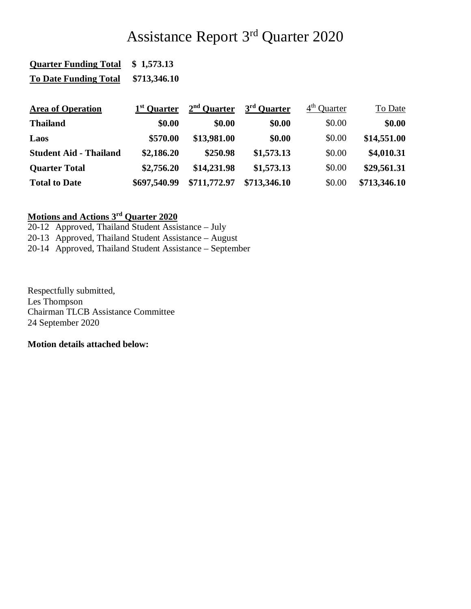## Assistance Report 3rd Quarter 2020

| <b>Quarter Funding Total</b>  | \$1,573.13              |               |                         |               |              |
|-------------------------------|-------------------------|---------------|-------------------------|---------------|--------------|
| <b>To Date Funding Total</b>  | \$713,346.10            |               |                         |               |              |
| <b>Area of Operation</b>      | 1 <sup>st</sup> Quarter | $2nd$ Quarter | 3 <sup>rd</sup> Quarter | $4th$ Ouarter | To Date      |
| <b>Thailand</b>               | \$0.00                  | \$0.00        | \$0.00                  | \$0.00        | \$0.00       |
| Laos                          | \$570.00                | \$13,981.00   | \$0.00                  | \$0.00        | \$14,551.00  |
| <b>Student Aid - Thailand</b> | \$2,186.20              | \$250.98      | \$1,573.13              | \$0.00        | \$4,010.31   |
| <b>Quarter Total</b>          | \$2,756.20              | \$14,231.98   | \$1,573.13              | \$0.00        | \$29,561.31  |
| <b>Total to Date</b>          | \$697,540.99            | \$711,772.97  | \$713,346.10            | \$0.00        | \$713,346.10 |

## **Motions and Actions 3rd Quarter 2020**

20-12 Approved, Thailand Student Assistance – July 20-13 Approved, Thailand Student Assistance – August

20-14 Approved, Thailand Student Assistance – September

Respectfully submitted, Les Thompson Chairman TLCB Assistance Committee 24 September 2020

**Motion details attached below:**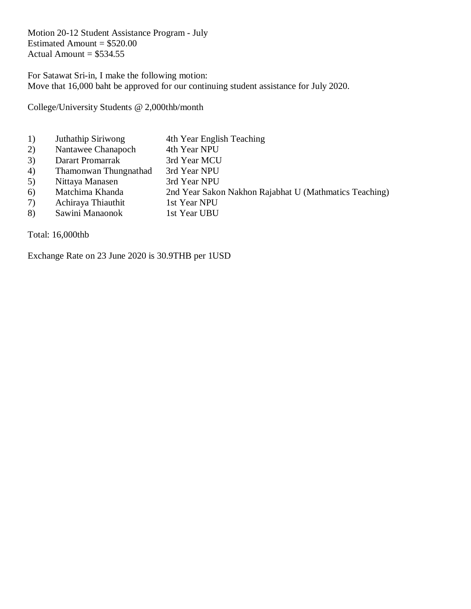Motion 20-12 Student Assistance Program - July Estimated Amount  $= $520.00$ Actual Amount  $= $534.55$ 

For Satawat Sri-in, I make the following motion: Move that 16,000 baht be approved for our continuing student assistance for July 2020.

College/University Students @ 2,000thb/month

- 1) Juthathip Siriwong 4th Year English Teaching
- 2) Nantawee Chanapoch 4th Year NPU
- 3) Darart Promarrak 3rd Year MCU
- 4) Thamonwan Thungnathad 3rd Year NPU
- 5) Nittaya Manasen 3rd Year NPU
- 6) Matchima Khanda 2nd Year Sakon Nakhon Rajabhat U (Mathmatics Teaching)
- 7) Achiraya Thiauthit 1st Year NPU
- 8) Sawini Manaonok 1st Year UBU

Total: 16,000thb

Exchange Rate on 23 June 2020 is 30.9THB per 1USD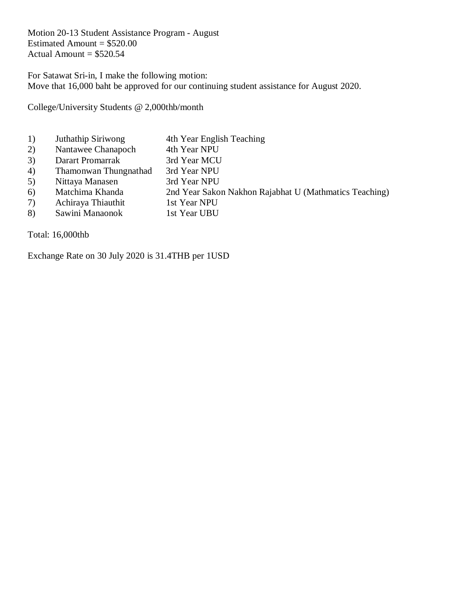Motion 20-13 Student Assistance Program - August Estimated Amount  $= $520.00$ Actual Amount  $= $520.54$ 

For Satawat Sri-in, I make the following motion: Move that 16,000 baht be approved for our continuing student assistance for August 2020.

College/University Students @ 2,000thb/month

- 1) Juthathip Siriwong 4th Year English Teaching
- 2) Nantawee Chanapoch 4th Year NPU
- 3) Darart Promarrak 3rd Year MCU
- 4) Thamonwan Thungnathad 3rd Year NPU
- 5) Nittaya Manasen 3rd Year NPU
- 6) Matchima Khanda 2nd Year Sakon Nakhon Rajabhat U (Mathmatics Teaching)
- 7) Achiraya Thiauthit 1st Year NPU
- 8) Sawini Manaonok 1st Year UBU

Total: 16,000thb

Exchange Rate on 30 July 2020 is 31.4THB per 1USD